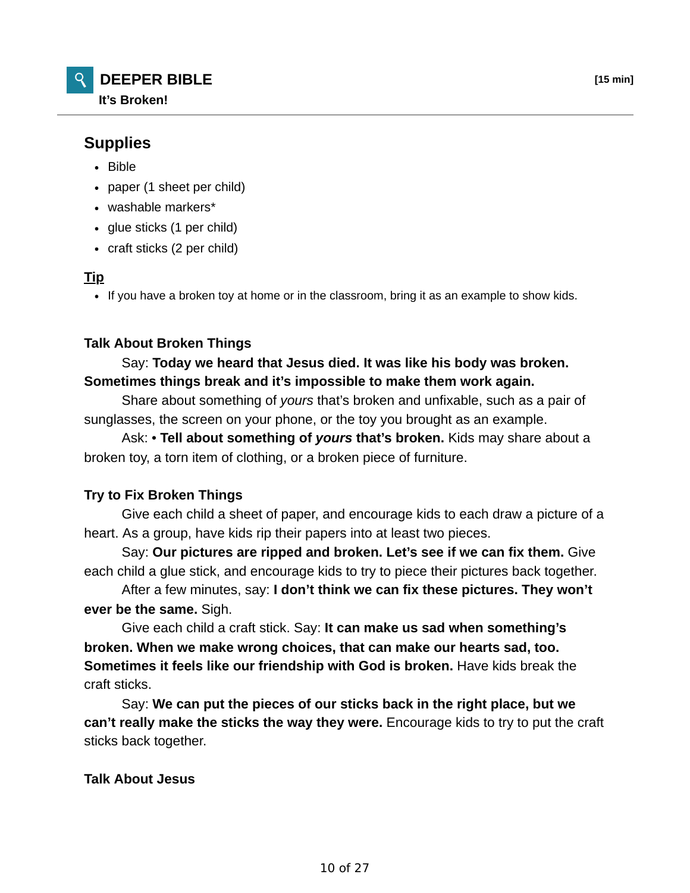

# **Supplies**

- Bible
- paper (1 sheet per child)
- washable markers\*
- glue sticks (1 per child)
- craft sticks (2 per child)

#### **Tip**

If you have a broken toy at home or in the classroom, bring it as an example to show kids.

# **Talk About Broken Things**

# Say: **Today we heard that Jesus died. It was like his body was broken. Sometimes things break and it's impossible to make them work again.**

 Share about something of *yours* that's broken and unfixable, such as a pair of sunglasses, the screen on your phone, or the toy you brought as an example.

 Ask: • **Tell about something of** *yours* **that's broken.** Kids may share about a broken toy, a torn item of clothing, or a broken piece of furniture.

# **Try to Fix Broken Things**

 Give each child a sheet of paper, and encourage kids to each draw a picture of a heart. As a group, have kids rip their papers into at least two pieces.

 Say: **Our pictures are ripped and broken. Let's see if we can fix them.** Give each child a glue stick, and encourage kids to try to piece their pictures back together.

 After a few minutes, say: **I don't think we can fix these pictures. They won't ever be the same.** Sigh.

 Give each child a craft stick. Say: **It can make us sad when something's broken. When we make wrong choices, that can make our hearts sad, too. Sometimes it feels like our friendship with God is broken.** Have kids break the craft sticks.

 Say: **We can put the pieces of our sticks back in the right place, but we can't really make the sticks the way they were.** Encourage kids to try to put the craft sticks back together.

# **Talk About Jesus**